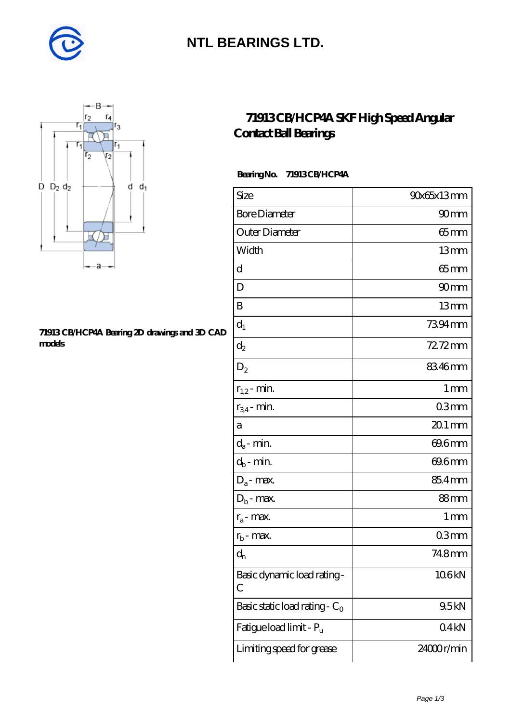

## **[NTL BEARINGS LTD.](https://m.diabetesfriends.net)**



#### **[71913 CB/HCP4A Bearing 2D drawings and 3D CAD](https://m.diabetesfriends.net/pic-590736.html) [models](https://m.diabetesfriends.net/pic-590736.html)**

### **[71913 CB/HCP4A SKF High Speed Angular](https://m.diabetesfriends.net/skf-bearing/71913-cb-hcp4a.html) [Contact Ball Bearings](https://m.diabetesfriends.net/skf-bearing/71913-cb-hcp4a.html)**

#### **Bearing No. 71913 CB/HCP4A**

| Size                             | 90x65x13mm       |
|----------------------------------|------------------|
| <b>Bore Diameter</b>             | 90 <sub>mm</sub> |
| Outer Diameter                   | $65 \text{mm}$   |
| Width                            | 13mm             |
| d                                | $65 \text{mm}$   |
| D                                | 90mm             |
| B                                | 13mm             |
| $d_1$                            | 7394mm           |
| $\mathrm{d}_2$                   | 72.72mm          |
| $D_2$                            | 8346mm           |
| $r_{1,2}$ - min.                 | 1 <sub>mm</sub>  |
| $r_{34}$ - min.                  | 03 <sub>mm</sub> |
| a                                | $201$ mm         |
| $d_a$ - min.                     | 69.6mm           |
| $d_b$ - min.                     | 69.6mm           |
| $D_a$ - max.                     | 85.4mm           |
| $D_b$ - max.                     | 88mm             |
| $r_a$ - max.                     | 1 mm             |
| $r_{b}$ - max.                   | 03mm             |
| $\mathbf{d}_{\rm n}$             | 74.8mm           |
| Basic dynamic load rating-<br>С  | 106kN            |
| Basic static load rating - $C_0$ | 9.5kN            |
| Fatigue load limit - Pu          | 04kN             |
| Limiting speed for grease        | 24000r/min       |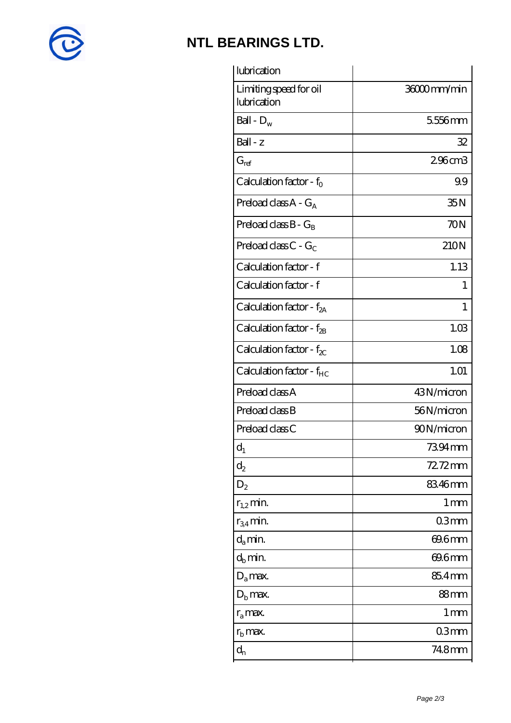

## **[NTL BEARINGS LTD.](https://m.diabetesfriends.net)**

| lubrication                           |                    |
|---------------------------------------|--------------------|
| Limiting speed for oil<br>lubrication | 36000mm/min        |
| Ball - $D_w$                          | 5556mm             |
| Ball - z                              | 32                 |
| $G_{ref}$                             | 296cm3             |
| Calculation factor - $f_0$            | 99                 |
| Preload class $A - G_A$               | 35N                |
| Preload class $B - G_B$               | 70N                |
| Preload class $C - G_C$               | 210N               |
| Calculation factor - f                | 1.13               |
| Calculation factor - f                | 1                  |
| Calculation factor - $f_{2A}$         | 1                  |
| Calculation factor - $f_{\rm 2B}$     | 1.03               |
| Calculation factor - $f_{\chi}$       | 1.08               |
| Calculation factor - $f_{HC}$         | 1.01               |
| Preload class A                       | 43N/micron         |
| Preload class B                       | 56N/micron         |
| Preload class C                       | 90N/micron         |
| $d_1$                                 | 7394 mm            |
| $\mathrm{d}_2$                        | $72.72$ mm         |
| $D_2$                                 | 83.46mm            |
| $r_{1,2}$ min.                        | $1 \, \mathrm{mm}$ |
| $r_{34}$ min.                         | 03mm               |
| $d_a$ min.                            | 69.6mm             |
| $d_h$ min.                            | 69.6mm             |
| $D_a$ max.                            | 85.4mm             |
| $Db$ max.                             | 88 <sub>mm</sub>   |
| $r_a$ max.                            | 1 <sub>mm</sub>    |
| $r_{\rm b}$ max.                      | 03mm               |
| $\mathbf{d}_{\rm n}$                  | 748mm              |